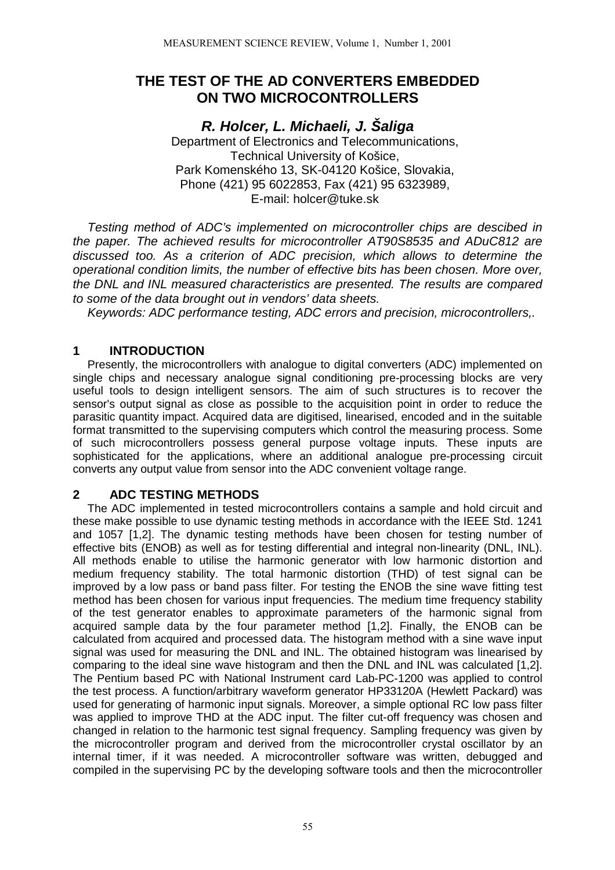# **THE TEST OF THE AD CONVERTERS EMBEDDED ON TWO MICROCONTROLLERS**

*R. Holcer, L. Michaeli, J. Šaliga*

Department of Electronics and Telecommunications, Technical University of Košice, Park Komenského 13, SK-04120 Košice, Slovakia, Phone (421) 95 6022853, Fax (421) 95 6323989, E-mail: holcer@tuke.sk

*Testing method of ADC's implemented on microcontroller chips are descibed in the paper. The achieved results for microcontroller AT90S8535 and ADuC812 are discussed too. As a criterion of ADC precision, which allows to determine the operational condition limits, the number of effective bits has been chosen. More over, the DNL and INL measured characteristics are presented. The results are compared to some of the data brought out in vendors' data sheets.*

*Keywords: ADC performance testing, ADC errors and precision, microcontrollers,.*

## **1 INTRODUCTION**

Presently, the microcontrollers with analogue to digital converters (ADC) implemented on single chips and necessary analogue signal conditioning pre-processing blocks are very useful tools to design intelligent sensors. The aim of such structures is to recover the sensor's output signal as close as possible to the acquisition point in order to reduce the parasitic quantity impact. Acquired data are digitised, linearised, encoded and in the suitable format transmitted to the supervising computers which control the measuring process. Some of such microcontrollers possess general purpose voltage inputs. These inputs are sophisticated for the applications, where an additional analogue pre-processing circuit converts any output value from sensor into the ADC convenient voltage range.

### **2 ADC TESTING METHODS**

The ADC implemented in tested microcontrollers contains a sample and hold circuit and these make possible to use dynamic testing methods in accordance with the IEEE Std. 1241 and 1057 [1,2]. The dynamic testing methods have been chosen for testing number of effective bits (ENOB) as well as for testing differential and integral non-linearity (DNL, INL). All methods enable to utilise the harmonic generator with low harmonic distortion and medium frequency stability. The total harmonic distortion (THD) of test signal can be improved by a low pass or band pass filter. For testing the ENOB the sine wave fitting test method has been chosen for various input frequencies. The medium time frequency stability of the test generator enables to approximate parameters of the harmonic signal from acquired sample data by the four parameter method [1,2]. Finally, the ENOB can be calculated from acquired and processed data. The histogram method with a sine wave input signal was used for measuring the DNL and INL. The obtained histogram was linearised by comparing to the ideal sine wave histogram and then the DNL and INL was calculated [1,2]. The Pentium based PC with National Instrument card Lab-PC-1200 was applied to control the test process. A function/arbitrary waveform generator HP33120A (Hewlett Packard) was used for generating of harmonic input signals. Moreover, a simple optional RC low pass filter was applied to improve THD at the ADC input. The filter cut-off frequency was chosen and changed in relation to the harmonic test signal frequency. Sampling frequency was given by the microcontroller program and derived from the microcontroller crystal oscillator by an internal timer, if it was needed. A microcontroller software was written, debugged and compiled in the supervising PC by the developing software tools and then the microcontroller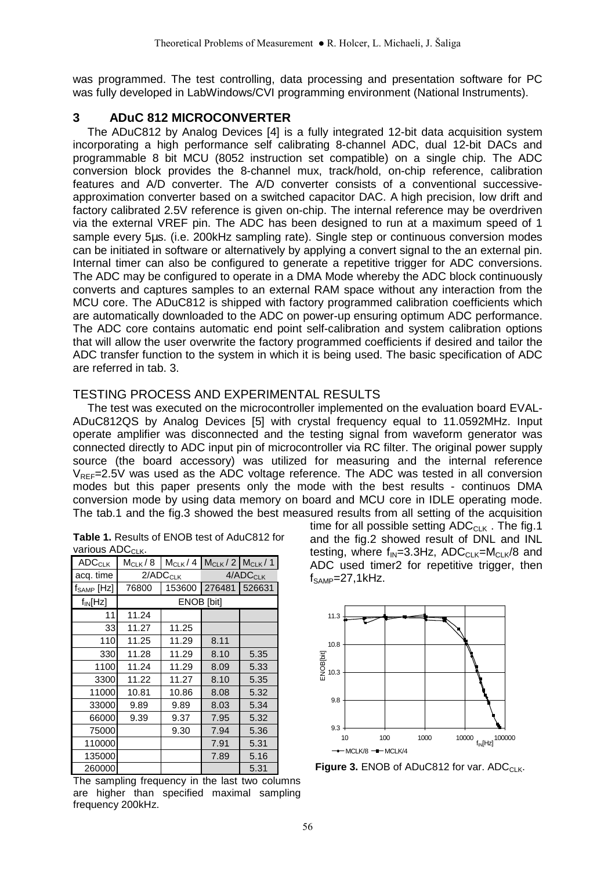was programmed. The test controlling, data processing and presentation software for PC was fully developed in LabWindows/CVI programming environment (National Instruments).

## **3 ADuC 812 MICROCONVERTER**

The ADuC812 by Analog Devices [4] is a fully integrated 12-bit data acquisition system incorporating a high performance self calibrating 8-channel ADC, dual 12-bit DACs and programmable 8 bit MCU (8052 instruction set compatible) on a single chip. The ADC conversion block provides the 8-channel mux, track/hold, on-chip reference, calibration features and A/D converter. The A/D converter consists of a conventional successiveapproximation converter based on a switched capacitor DAC. A high precision, low drift and factory calibrated 2.5V reference is given on-chip. The internal reference may be overdriven via the external VREF pin. The ADC has been designed to run at a maximum speed of 1 sample every 5us. (i.e. 200kHz sampling rate). Single step or continuous conversion modes can be initiated in software or alternatively by applying a convert signal to the an external pin. Internal timer can also be configured to generate a repetitive trigger for ADC conversions. The ADC may be configured to operate in a DMA Mode whereby the ADC block continuously converts and captures samples to an external RAM space without any interaction from the MCU core. The ADuC812 is shipped with factory programmed calibration coefficients which are automatically downloaded to the ADC on power-up ensuring optimum ADC performance. The ADC core contains automatic end point self-calibration and system calibration options that will allow the user overwrite the factory programmed coefficients if desired and tailor the ADC transfer function to the system in which it is being used. The basic specification of ADC are referred in tab. 3.

### TESTING PROCESS AND EXPERIMENTAL RESULTS

The test was executed on the microcontroller implemented on the evaluation board EVAL-ADuC812QS by Analog Devices [5] with crystal frequency equal to 11.0592MHz. Input operate amplifier was disconnected and the testing signal from waveform generator was connected directly to ADC input pin of microcontroller via RC filter. The original power supply source (the board accessory) was utilized for measuring and the internal reference  $V_{REF}=2.5V$  was used as the ADC voltage reference. The ADC was tested in all conversion modes but this paper presents only the mode with the best results - continuos DMA conversion mode by using data memory on board and MCU core in IDLE operating mode. The tab.1 and the fig.3 showed the best measured results from all setting of the acquisition

| <b>Table 1.</b> Results of ENOB test of AduC812 for |  |
|-----------------------------------------------------|--|
| various ADC <sub>CLK</sub> .                        |  |

| <b>ADC<sub>CLK</sub></b> | $M_{CLK}$ / 8 | $M_{CLK}/4$   |        | $M_{CLK}$ / 2 $M_{CLK}$ / 1 |
|--------------------------|---------------|---------------|--------|-----------------------------|
| acq. time                |               | $2/ADC_{CLK}$ |        | 4/ADC <sub>CLK</sub>        |
| $f_{\mathsf{SAMP}}[Hz]$  | 76800         | 153600        | 276481 | 526631                      |
| $f_{IN}[Hz]$             | ENOB [bit]    |               |        |                             |
| 11                       | 11.24         |               |        |                             |
| 33                       | 11.27         | 11.25         |        |                             |
| 110                      | 11.25         | 11.29         | 8.11   |                             |
| 330                      | 11.28         | 11.29         | 8.10   | 5.35                        |
| 1100                     | 11.24         | 11.29         | 8.09   | 5.33                        |
| 3300                     | 11.22         | 11.27         | 8.10   | 5.35                        |
| 11000                    | 10.81         | 10.86         | 8.08   | 5.32                        |
| 33000                    | 9.89          | 9.89          | 8.03   | 5.34                        |
| 66000                    | 9.39          | 9.37          | 7.95   | 5.32                        |
| 75000                    |               | 9.30          | 7.94   | 5.36                        |
| 110000                   |               |               | 7.91   | 5.31                        |
| 135000                   |               |               | 7.89   | 5.16                        |
| 260000                   |               |               |        | 5.31                        |

The sampling frequency in the last two columns are higher than specified maximal sampling frequency 200kHz.

time for all possible setting  $ADC_{C-K}$ . The fig.1 and the fig.2 showed result of DNL and INL testing, where  $f_{IN}=3.3Hz$ , ADC<sub>CLK</sub>=M<sub>CLK</sub>/8 and ADC used timer2 for repetitive trigger, then  $f<sub>SAMP</sub>=27,1kHz.$ 



**Figure 3. ENOB of ADuC812 for var. ADCCLK.**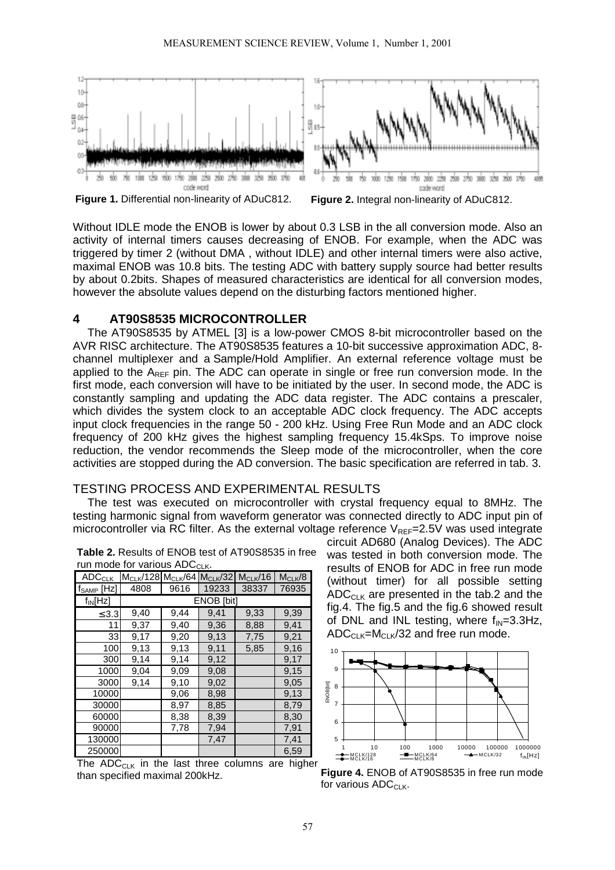

**Figure 1.** Differential non-linearity of ADuC812. **Figure 2.** Integral non-linearity of ADuC812.

Without IDLE mode the ENOB is lower by about 0.3 LSB in the all conversion mode. Also an activity of internal timers causes decreasing of ENOB. For example, when the ADC was triggered by timer 2 (without DMA , without IDLE) and other internal timers were also active, maximal ENOB was 10.8 bits. The testing ADC with battery supply source had better results by about 0.2bits. Shapes of measured characteristics are identical for all conversion modes, however the absolute values depend on the disturbing factors mentioned higher.

#### **4 AT90S8535 MICROCONTROLLER**

The AT90S8535 by ATMEL [3] is a low-power CMOS 8-bit microcontroller based on the AVR RISC architecture. The AT90S8535 features a 10-bit successive approximation ADC, 8 channel multiplexer and a Sample/Hold Amplifier. An external reference voltage must be applied to the  $A_{RFF}$  pin. The ADC can operate in single or free run conversion mode. In the first mode, each conversion will have to be initiated by the user. In second mode, the ADC is constantly sampling and updating the ADC data register. The ADC contains a prescaler, which divides the system clock to an acceptable ADC clock frequency. The ADC accepts input clock frequencies in the range 50 - 200 kHz. Using Free Run Mode and an ADC clock frequency of 200 kHz gives the highest sampling frequency 15.4kSps. To improve noise reduction, the vendor recommends the Sleep mode of the microcontroller, when the core activities are stopped during the AD conversion. The basic specification are referred in tab. 3.

#### TESTING PROCESS AND EXPERIMENTAL RESULTS

The test was executed on microcontroller with crystal frequency equal to 8MHz. The testing harmonic signal from waveform generator was connected directly to ADC input pin of microcontroller via RC filter. As the external voltage reference  $V_{REF}=2.5V$  was used integrate

| $1001$ MODE TOT VALIOUS ADUCLK. |                          |            |       |              |             |  |
|---------------------------------|--------------------------|------------|-------|--------------|-------------|--|
| <b>ADCCLK</b>                   | MCLK/128 MCLK/64 MCLK/32 |            |       | $M_{CLK}/16$ | $M_{CLK}/8$ |  |
| $f_{\text{SAMP}}$ [Hz]          | 4808                     | 9616       | 19233 | 38337        | 76935       |  |
| $f_{IN}[Hz]$                    |                          | ENOB [bit] |       |              |             |  |
| $\leq$ 3.3                      | 9,40                     | 9,44       | 9,41  | 9,33         | 9,39        |  |
| 11                              | 9,37                     | 9,40       | 9,36  | 8,88         | 9,41        |  |
| 33                              | 9,17                     | 9,20       | 9,13  | 7,75         | 9,21        |  |
| 100                             | 9,13                     | 9,13       | 9,11  | 5,85         | 9,16        |  |
| 300                             | 9,14                     | 9,14       | 9,12  |              | 9,17        |  |
| 1000                            | 9,04                     | 9,09       | 9,08  |              | 9,15        |  |
| 3000                            | 9,14                     | 9,10       | 9,02  |              | 9,05        |  |
| 10000                           |                          | 9,06       | 8,98  |              | 9,13        |  |
| 30000                           |                          | 8,97       | 8,85  |              | 8,79        |  |
| 60000                           |                          | 8,38       | 8,39  |              | 8,30        |  |
| 90000                           |                          | 7,78       | 7,94  |              | 7,91        |  |
| 130000                          |                          |            | 7,47  |              | 7,41        |  |
| 250000                          |                          |            |       |              | 6,59        |  |

**Table 2.** Results of ENOB test of AT90S8535 in free rade for various ADC

The  $ADC_{C-K}$  in the last three columns are higher than specified maximal 200kHz.

circuit AD680 (Analog Devices). The ADC was tested in both conversion mode. The results of ENOB for ADC in free run mode (without timer) for all possible setting ADC $_{C-K}$  are presented in the tab.2 and the fig.4. The fig.5 and the fig.6 showed result of DNL and INL testing, where  $f_{IN}=3.3Hz$ ,  $ADC<sub>CLK</sub>=M<sub>CLK</sub>/32$  and free run mode.



**Figure 4.** ENOB of AT90S8535 in free run mode for various  $ADC<sub>ClK</sub>$ .